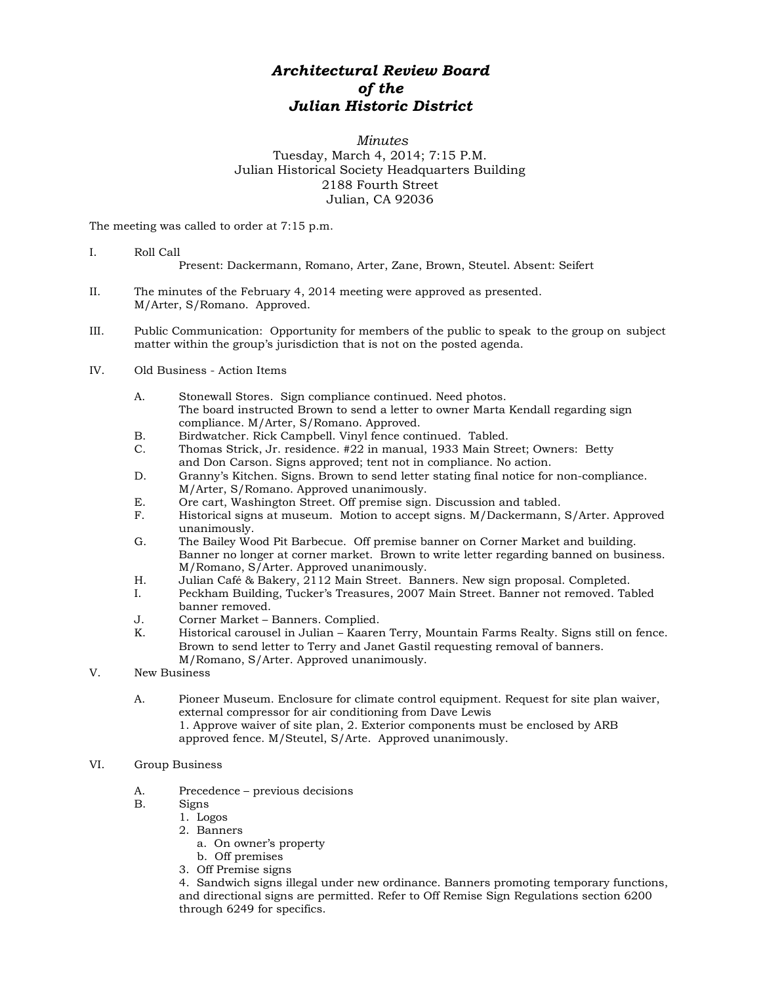## *Architectural Review Board of the Julian Historic District*

## *Minutes* Tuesday, March 4, 2014; 7:15 P.M. Julian Historical Society Headquarters Building 2188 Fourth Street Julian, CA 92036

The meeting was called to order at 7:15 p.m.

- I. Roll Call Present: Dackermann, Romano, Arter, Zane, Brown, Steutel. Absent: Seifert
- II. The minutes of the February 4, 2014 meeting were approved as presented. M/Arter, S/Romano. Approved.
- III. Public Communication: Opportunity for members of the public to speak to the group on subject matter within the group's jurisdiction that is not on the posted agenda.
- IV. Old Business Action Items
	- A. Stonewall Stores. Sign compliance continued. Need photos. The board instructed Brown to send a letter to owner Marta Kendall regarding sign compliance. M/Arter, S/Romano. Approved.
	- B. Birdwatcher. Rick Campbell. Vinyl fence continued. Tabled.<br>C. Thomas Strick. Jr. residence. #22 in manual. 1933 Main Stre
	- C. Thomas Strick, Jr. residence. #22 in manual, 1933 Main Street; Owners: Betty and Don Carson. Signs approved; tent not in compliance. No action.
	- D. Granny's Kitchen. Signs. Brown to send letter stating final notice for non-compliance. M/Arter, S/Romano. Approved unanimously.
	- E. Ore cart, Washington Street. Off premise sign. Discussion and tabled.
	- F. Historical signs at museum. Motion to accept signs. M/Dackermann, S/Arter. Approved unanimously.
	- G. The Bailey Wood Pit Barbecue. Off premise banner on Corner Market and building. Banner no longer at corner market. Brown to write letter regarding banned on business. M/Romano, S/Arter. Approved unanimously.
	- H. Julian Café & Bakery, 2112 Main Street. Banners. New sign proposal. Completed.
	- Peckham Building, Tucker's Treasures, 2007 Main Street. Banner not removed. Tabled banner removed.
	- J. Corner Market Banners. Complied.
	- K. Historical carousel in Julian Kaaren Terry, Mountain Farms Realty. Signs still on fence. Brown to send letter to Terry and Janet Gastil requesting removal of banners. M/Romano, S/Arter. Approved unanimously.
- V. New Business
	- A. Pioneer Museum. Enclosure for climate control equipment. Request for site plan waiver, external compressor for air conditioning from Dave Lewis 1. Approve waiver of site plan, 2. Exterior components must be enclosed by ARB approved fence. M/Steutel, S/Arte. Approved unanimously.

## VI. Group Business

- A. Precedence previous decisions
- B. Signs
	- 1. Logos
	- 2. Banners
		- a. On owner's property
	- b. Off premises
	- 3. Off Premise signs

4. Sandwich signs illegal under new ordinance. Banners promoting temporary functions, and directional signs are permitted. Refer to Off Remise Sign Regulations section 6200 through 6249 for specifics.